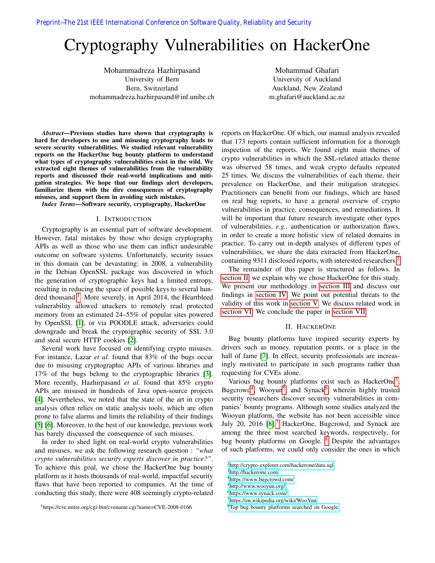# Cryptography Vulnerabilities on HackerOne

Mohammadreza Hazhirpasand University of Bern Bern, Switzerland mohammadreza.hazhirpasand@inf.unibe.ch

Mohammad Ghafari University of Auckland Auckland, New Zealand m.ghafari@auckland.ac.nz

*Abstract*—Previous studies have shown that cryptography is hard for developers to use and misusing cryptography leads to severe security vulnerabilities. We studied relevant vulnerability reports on the HackerOne bug bounty platform to understand what types of cryptography vulnerabilities exist in the wild. We extracted eight themes of vulnerabilities from the vulnerability reports and discussed their real-world implications and mitigation strategies. We hope that our findings alert developers, familiarize them with the dire consequences of cryptography misuses, and support them in avoiding such mistakes.

*Index Terms*—Software security, cryptography, HackerOne

#### I. INTRODUCTION

Cryptography is an essential part of software development. However, fatal mistakes by those who design cryptography APIs as well as those who use them can inflict undesirable outcome on software systems. Unfortunately, security issues in this domain can be devastating: in 2008, a vulnerability in the Debian OpenSSL package was discovered in which the generation of cryptographic keys had a limited entropy, resulting in reducing the space of possible keys to several hun-dred thousand <sup>[1](#page-0-0)</sup>. More severely, in April 2014, the Heartbleed vulnerability allowed attackers to remotely read protected memory from an estimated 24–55% of popular sites powered by OpenSSL [\[1\]](#page-8-0), or via POODLE attack, adversaries could downgrade and break the cryptographic security of SSL 3.0 and steal secure HTTP cookies [\[2\]](#page-8-1).

Several work have focused on identifying crypto misuses. For instance, Lazar *et al.* found that 83% of the bugs occur due to misusing cryptographic APIs of various libraries and 17% of the bugs belong to the cryptographic libraries [\[3\]](#page-8-2). More recently, Hazhirpasand *et al.* found that 85% crypto APIs are misused in hundreds of Java open-source projects [\[4\]](#page-8-3). Nevertheless, we noted that the state of the art in crypto analysis often relies on static analysis tools, which are often prone to false alarms and limits the reliability of their findings [\[5\]](#page-8-4) [\[6\]](#page-8-5). Moreover, to the best of our knowledge, previous work has barely discussed the consequence of such misuses.

In order to shed light on real-world crypto vulnerabilities and misuses, we ask the following research question : *"what crypto vulnerabilities security experts discover in practice?"*. To achieve this goal, we chose the HackerOne bug bounty platform as it hosts thousands of real-world, impactful security flaws that have been reported to companies. At the time of conducting this study, there were 408 seemingly crypto-related

<span id="page-0-0"></span><sup>1</sup>https://cve.mitre.org/cgi-bin/cvename.cgi?name=CVE-2008-0166

reports on HackerOne. Of which, our manual analysis revealed that 173 reports contain sufficient information for a thorough inspection of the reports. We found eight main themes of crypto vulnerabilities in which the SSL-related attacks theme was observed 58 times, and weak crypto defaults repeated 25 times. We discuss the vulnerabilities of each theme, their prevalence on HackerOne, and their mitigation strategies. Practitioners can benefit from our findings, which are based on real bug reports, to have a general overview of crypto vulnerabilities in practice, consequences, and remediations. It will be important that future research investigate other types of vulnerabilities, *e.g.,* authentication or authorization flaws, in order to create a more holistic view of related domains in practice. To carry out in-depth analyses of different types of vulnerabilities, we share the data extracted from HackerOne, containing 9311 disclosed reports, with interested researchers.<sup>[2](#page-0-1)</sup>

The remainder of this paper is structured as follows. In [section II,](#page-0-2) we explain why we chose HackerOne for this study. We present our methodology in [section III](#page-2-0) and discuss our findings in [section IV.](#page-3-0) We point out potential threats to the validity of this work in [section V.](#page-7-0) We discuss related work in [section VI.](#page-7-1) We conclude the paper in [section VII.](#page-7-2)

#### II. HACKERONE

<span id="page-0-2"></span>Bug bounty platforms have inspired security experts by drivers such as money, reputation points, or a place in the hall of fame [\[7\]](#page-8-6). In effect, security professionals are increasingly motivated to participate in such programs rather than requesting for CVEs alone.

Various bug bounty platforms exist such as HackerOne<sup>[3](#page-0-3)</sup>, Bugcrowd<sup>[4](#page-0-4)</sup>, Wooyun<sup>[5](#page-0-5)</sup>, and Synack<sup>[6](#page-0-6)</sup>, wherein highly trusted security researchers discover security vulnerabilities in companies' bounty programs. Although some studies analyzed the Wooyun platform, the website has not been accessible since July 20, 2016 [\[8\]](#page-8-7).<sup>[7](#page-0-7)</sup> HackerOne, Bugcrowd, and Synack are among the three most searched keywords, respectively, for bug bounty platforms on Google. <sup>[8](#page-0-8)</sup> Despite the advantages of such platforms, we could only consider the ones in which

<span id="page-0-7"></span><sup>7</sup><https://en.wikipedia.org/wiki/WooYun>

<span id="page-0-1"></span><sup>2</sup><http://crypto-explorer.com/hackerone/data.sql>

<span id="page-0-3"></span><sup>3</sup><http://hackerone.com>

<span id="page-0-4"></span><sup>4</sup><https://www.bugcrowd.com/>

<span id="page-0-5"></span><sup>5</sup><http://www.wooyun.org/>

<span id="page-0-6"></span><sup>6</sup><https://www.synack.com/>

<span id="page-0-8"></span><sup>8</sup>[Top bug bounty platforms searched on Google](https://trends.google.com/trends/explore?q=HackerOne,bugcrowd,safehats,Intigriti,Synack)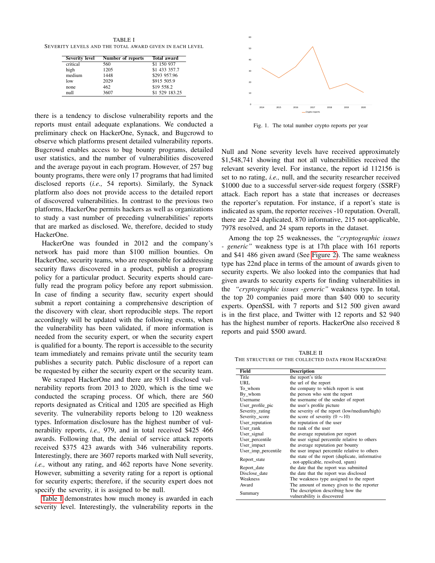<span id="page-1-0"></span>TABLE I SEVERITY LEVELS AND THE TOTAL AWARD GIVEN IN EACH LEVEL

| <b>Severity level</b> | Number of reports | <b>Total award</b> |
|-----------------------|-------------------|--------------------|
| critical              | 560               | \$1 150 937        |
| high                  | 1205              | \$1 433 357.7      |
| medium                | 1448              | \$293 957.96       |
| low                   | 2029              | \$915 505.9        |
| none                  | 462               | \$19 558.2         |
| null                  | 3607              | \$1 529 183.25     |

there is a tendency to disclose vulnerability reports and the reports must entail adequate explanations. We conducted a preliminary check on HackerOne, Synack, and Bugcrowd to observe which platforms present detailed vulnerability reports. Bugcrowd enables access to bug bounty programs, detailed user statistics, and the number of vulnerabilities discovered and the average payout in each program. However, of 257 bug bounty programs, there were only 17 programs that had limited disclosed reports (*i.e.,* 54 reports). Similarly, the Synack platform also does not provide access to the detailed report of discovered vulnerabilities. In contrast to the previous two platforms, HackerOne permits hackers as well as organizations to study a vast number of preceding vulnerabilities' reports that are marked as disclosed. We, therefore, decided to study HackerOne.

HackerOne was founded in 2012 and the company's network has paid more than \$100 million bounties. On HackerOne, security teams, who are responsible for addressing security flaws discovered in a product, publish a program policy for a particular product. Security experts should carefully read the program policy before any report submission. In case of finding a security flaw, security expert should submit a report containing a comprehensive description of the discovery with clear, short reproducible steps. The report accordingly will be updated with the following events, when the vulnerability has been validated, if more information is needed from the security expert, or when the security expert is qualified for a bounty. The report is accessible to the security team immediately and remains private until the security team publishes a security patch. Public disclosure of a report can be requested by either the security expert or the security team.

We scraped HackerOne and there are 9311 disclosed vulnerability reports from 2013 to 2020, which is the time we conducted the scraping process. Of which, there are 560 reports designated as Critical and 1205 are specified as High severity. The vulnerability reports belong to 120 weakness types. Information disclosure has the highest number of vulnerability reports, *i.e.,* 979, and in total received \$425 466 awards. Following that, the denial of service attack reports received \$375 423 awards with 346 vulnerability reports. Interestingly, there are 3607 reports marked with Null severity, *i.e.,* without any rating, and 462 reports have None severity. However, submitting a severity rating for a report is optional for security experts; therefore, if the security expert does not specify the severity, it is assigned to be null.

[Table I](#page-1-0) demonstrates how much money is awarded in each severity level. Interestingly, the vulnerability reports in the



<span id="page-1-2"></span>Fig. 1. The total number crypto reports per year

Null and None severity levels have received approximately \$1,548,741 showing that not all vulnerabilities received the relevant severity level. For instance, the report id 112156 is set to no rating, *i.e.,* null, and the security researcher received \$1000 due to a successful server-side request forgery (SSRF) attack. Each report has a state that increases or decreases the reporter's reputation. For instance, if a report's state is indicated as spam, the reporter receives -10 reputation. Overall, there are 224 duplicated, 870 informative, 215 not-applicable, 7978 resolved, and 24 spam reports in the dataset.

Among the top 25 weaknesses, the *"cryptographic issues - generic"* weakness type is at 17th place with 161 reports and \$41 486 given award (See [Figure 2\)](#page-2-1). The same weakness type has 22nd place in terms of the amount of awards given to security experts. We also looked into the companies that had given awards to security experts for finding vulnerabilities in the *"cryptographic issues -generic"* weakness type. In total, the top 20 companies paid more than \$40 000 to security experts. OpenSSL with 7 reports and \$12 500 given award is in the first place, and Twitter with 12 reports and \$2 940 has the highest number of reports. HackerOne also received 8 reports and paid \$500 award.

<span id="page-1-1"></span>TABLE II THE STRUCTURE OF THE COLLECTED DATA FROM HACKERONE

| Field               | <b>Description</b>                                                                   |  |
|---------------------|--------------------------------------------------------------------------------------|--|
| Title               | the report's title                                                                   |  |
| URL.                | the url of the report                                                                |  |
| To whom             | the company to which report is sent                                                  |  |
| By whom             | the person who sent the report                                                       |  |
| Username            | the username of the sender of report                                                 |  |
| User_profile_pic    | the user's profile picture                                                           |  |
| Severity_rating     | the severity of the report (low/medium/high)                                         |  |
| Severity score      | the score of severity $(0 \sim 10)$                                                  |  |
| User_reputation     | the reputation of the user                                                           |  |
| User rank           | the rank of the user                                                                 |  |
| User_signal         | the average reputation per report                                                    |  |
| User percentile     | the user signal percentile relative to others                                        |  |
| User_impact         | the average reputation per bounty                                                    |  |
| User imp percentile | the user impact percentile relative to others                                        |  |
| Report_state        | the state of the report (duplicate, informative<br>, not-applicable, resolved, spam) |  |
| Report_date         | the date that the report was submitted                                               |  |
| Disclose date       | the date that the report was disclosed                                               |  |
| Weakness            | The weakness type assigned to the report                                             |  |
| Award               | The amount of money given to the reporter                                            |  |
| Summary             | The description describing how the<br>vulnerability is discovered                    |  |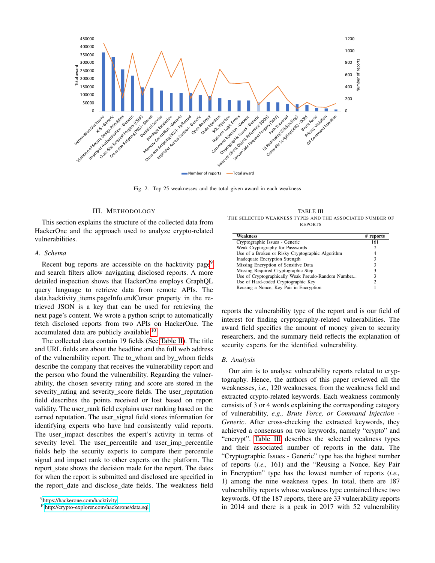

<span id="page-2-1"></span>Fig. 2. Top 25 weaknesses and the total given award in each weakness

#### III. METHODOLOGY

<span id="page-2-0"></span>This section explains the structure of the collected data from HackerOne and the approach used to analyze crypto-related vulnerabilities.

## *A. Schema*

Recent bug reports are accessible on the hacktivity page<sup>[9](#page-2-2)</sup> and search filters allow navigating disclosed reports. A more detailed inspection shows that HackerOne employs GraphQL query language to retrieve data from remote APIs. The data.hacktivity\_items.pageInfo.endCursor property in the retrieved JSON is a key that can be used for retrieving the next page's content. We wrote a python script to automatically fetch disclosed reports from two APIs on HackerOne. The accumulated data are publicly available.<sup>[10](#page-2-3)</sup>

The collected data contain 19 fields (See [Table II\)](#page-1-1). The title and URL fields are about the headline and the full web address of the vulnerability report. The to\_whom and by\_whom fields describe the company that receives the vulnerability report and the person who found the vulnerability. Regarding the vulnerability, the chosen severity rating and score are stored in the severity rating and severity score fields. The user reputation field describes the points received or lost based on report validity. The user\_rank field explains user ranking based on the earned reputation. The user\_signal field stores information for identifying experts who have had consistently valid reports. The user\_impact describes the expert's activity in terms of severity level. The user percentile and user imp percentile fields help the security experts to compare their percentile signal and impact rank to other experts on the platform. The report\_state shows the decision made for the report. The dates for when the report is submitted and disclosed are specified in the report\_date and disclose\_date fields. The weakness field

<span id="page-2-4"></span>TABLE III THE SELECTED WEAKNESS TYPES AND THE ASSOCIATED NUMBER OF REPORTS

| Weakness                                           | # reports |
|----------------------------------------------------|-----------|
| Cryptographic Issues - Generic                     | 161       |
| Weak Cryptography for Passwords                    |           |
| Use of a Broken or Risky Cryptographic Algorithm   |           |
| Inadequate Encryption Strength                     | 3         |
| Missing Encryption of Sensitive Data               |           |
| Missing Required Cryptographic Step                | 3         |
| Use of Cryptographically Weak Pseudo-Random Number |           |
| Use of Hard-coded Cryptographic Key                |           |
| Reusing a Nonce, Key Pair in Encryption            |           |

reports the vulnerability type of the report and is our field of interest for finding cryptography-related vulnerabilities. The award field specifies the amount of money given to security researchers, and the summary field reflects the explanation of security experts for the identified vulnerability.

#### *B. Analysis*

Our aim is to analyse vulnerability reports related to cryptography. Hence, the authors of this paper reviewed all the weaknesses, *i.e.,* 120 weaknesses, from the weakness field and extracted crypto-related keywords. Each weakness commonly consists of 3 or 4 words explaining the corresponding category of vulnerability, *e.g., Brute Force, or Command Injection - Generic*. After cross-checking the extracted keywords, they achieved a consensus on two keywords, namely "crypto" and "encrypt". [Table III](#page-2-4) describes the selected weakness types and their associated number of reports in the data. The "Cryptographic Issues - Generic" type has the highest number of reports (*i.e.,* 161) and the "Reusing a Nonce, Key Pair in Encryption" type has the lowest number of reports (*i.e.,* 1) among the nine weakness types. In total, there are 187 vulnerability reports whose weakness type contained these two keywords. Of the 187 reports, there are 33 vulnerability reports in 2014 and there is a peak in 2017 with 52 vulnerability

<span id="page-2-2"></span><sup>9</sup><https://hackerone.com/hacktivity>

<span id="page-2-3"></span><sup>10</sup><http://crypto-explorer.com/hackerone/data.sql>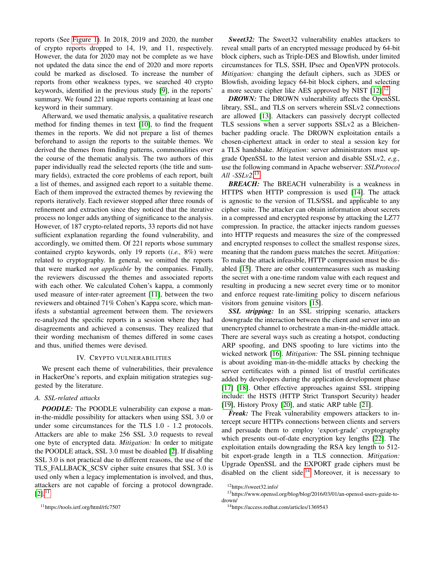reports (See [Figure 1\)](#page-1-2). In 2018, 2019 and 2020, the number of crypto reports dropped to 14, 19, and 11, respectively. However, the data for 2020 may not be complete as we have not updated the data since the end of 2020 and more reports could be marked as disclosed. To increase the number of reports from other weakness types, we searched 40 crypto keywords, identified in the previous study [\[9\]](#page-8-8), in the reports' summary. We found 221 unique reports containing at least one keyword in their summary.

Afterward, we used thematic analysis, a qualitative research method for finding themes in text [\[10\]](#page-8-9), to find the frequent themes in the reports. We did not prepare a list of themes beforehand to assign the reports to the suitable themes. We derived the themes from finding patterns, commonalities over the course of the thematic analysis. The two authors of this paper individually read the selected reports (the title and summary fields), extracted the core problems of each report, built a list of themes, and assigned each report to a suitable theme. Each of them improved the extracted themes by reviewing the reports iteratively. Each reviewer stopped after three rounds of refinement and extraction since they noticed that the iterative process no longer adds anything of significance to the analysis. However, of 187 crypto-related reports, 33 reports did not have sufficient explanation regarding the found vulnerability, and accordingly, we omitted them. Of 221 reports whose summary contained crypto keywords, only 19 reports (*i.e.,* 8%) were related to cryptography. In general, we omitted the reports that were marked *not applicable* by the companies. Finally, the reviewers discussed the themes and associated reports with each other. We calculated Cohen's kappa, a commonly used measure of inter-rater agreement [\[11\]](#page-8-10), between the two reviewers and obtained 71% Cohen's Kappa score, which manifests a substantial agreement between them. The reviewers re-analyzed the specific reports in a session where they had disagreements and achieved a consensus. They realized that their wording mechanism of themes differed in some cases and thus, unified themes were devised.

#### IV. CRYPTO VULNERABILITIES

<span id="page-3-0"></span>We present each theme of vulnerabilities, their prevalence in HackerOne's reports, and explain mitigation strategies suggested by the literature.

# *A. SSL-related attacks*

*POODLE:* The POODLE vulnerability can expose a manin-the-middle possibility for attackers when using SSL 3.0 or under some circumstances for the TLS 1.0 - 1.2 protocols. Attackers are able to make 256 SSL 3.0 requests to reveal one byte of encrypted data. *Mitigation:* In order to mitigate the POODLE attack, SSL 3.0 must be disabled [\[2\]](#page-8-1). If disabling SSL 3.0 is not practical due to different reasons, the use of the TLS\_FALLBACK\_SCSV cipher suite ensures that SSL 3.0 is used only when a legacy implementation is involved, and thus, attackers are not capable of forcing a protocol downgrade.  $[2]$ .<sup>[11](#page-3-1)</sup>

*Sweet32:* The Sweet32 vulnerability enables attackers to reveal small parts of an encrypted message produced by 64-bit block ciphers, such as Triple-DES and Blowfish, under limited circumstances for TLS, SSH, IPsec and OpenVPN protocols. *Mitigation:* changing the default ciphers, such as 3DES or Blowfish, avoiding legacy 64-bit block ciphers, and selecting a more secure cipher like AES approved by NIST [\[12\]](#page-8-11).<sup>[12](#page-3-2)</sup>

*DROWN:* The DROWN vulnerability affects the OpenSSL library, SSL, and TLS on servers wherein SSLv2 connections are allowed [\[13\]](#page-8-12). Attackers can passively decrypt collected TLS sessions when a server supports SSLv2 as a Bleichenbacher padding oracle. The DROWN exploitation entails a chosen-ciphertext attack in order to steal a session key for a TLS handshake. *Mitigation:* server administrators must upgrade OpenSSL to the latest version and disable SSLv2, *e.g.,* use the following command in Apache webserver: *SSLProtocol All -SSLv2*. [13](#page-3-3)

**BREACH:** The BREACH vulnerability is a weakness in HTTPS when HTTP compression is used [\[14\]](#page-8-13). The attack is agnostic to the version of TLS/SSL and applicable to any cipher suite. The attacker can obtain information about secrets in a compressed and encrypted response by attacking the LZ77 compression. In practice, the attacker injects random guesses into HTTP requests and measures the size of the compressed and encrypted responses to collect the smallest response sizes, meaning that the random guess matches the secret. *Mitigation:* To make the attack infeasible, HTTP compression must be disabled [\[15\]](#page-8-14). There are other countermeasures such as masking the secret with a one-time random value with each request and resulting in producing a new secret every time or to monitor and enforce request rate-limiting policy to discern nefarious visitors from genuine visitors [\[15\]](#page-8-14).

*SSL stripping:* In an SSL stripping scenario, attackers downgrade the interaction between the client and server into an unencrypted channel to orchestrate a man-in-the-middle attack. There are several ways such as creating a hotspot, conducting ARP spoofing, and DNS spoofing to lure victims into the wicked network [\[16\]](#page-8-15). *Mitigation:* The SSL pinning technique is about avoiding man-in-the-middle attacks by checking the server certificates with a pinned list of trustful certificates added by developers during the application development phase [\[17\]](#page-8-16) [\[18\]](#page-8-17). Other effective approaches against SSL stripping include: the HSTS (HTTP Strict Transport Security) header [\[19\]](#page-8-18), History Proxy [\[20\]](#page-8-19), and static ARP table [\[21\]](#page-8-20).

*Freak:* The Freak vulnerability empowers attackers to intercept secure HTTPs connections between clients and servers and persuade them to employ 'export-grade' cryptography which presents out-of-date encryption key lengths [\[22\]](#page-8-21). The exploitation entails downgrading the RSA key length to 512 bit export-grade length in a TLS connection. *Mitigation:* Upgrade OpenSSL and the EXPORT grade ciphers must be disabled on the client side.<sup>[14](#page-3-4)</sup> Moreover, it is necessary to

<span id="page-3-3"></span><span id="page-3-2"></span><sup>12</sup>https://sweet32.info/

<sup>13</sup>https://www.openssl.org/blog/blog/2016/03/01/an-openssl-users-guide-todrown/

<span id="page-3-4"></span><sup>14</sup>https://access.redhat.com/articles/1369543

<span id="page-3-1"></span><sup>11</sup>https://tools.ietf.org/html/rfc7507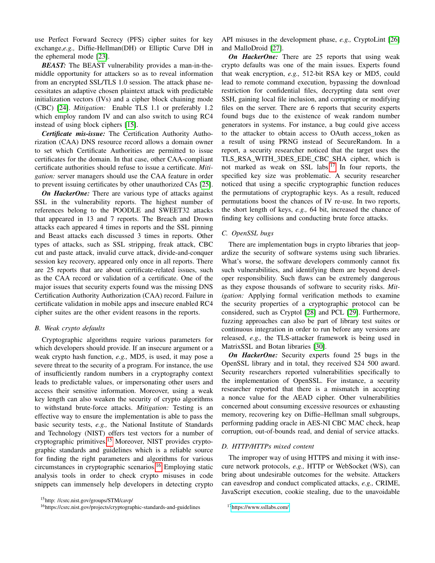use Perfect Forward Secrecy (PFS) cipher suites for key exchange,*e.g.,* Diffie-Hellman(DH) or Elliptic Curve DH in the ephemeral mode [\[23\]](#page-8-22).

*BEAST:* The BEAST vulnerability provides a man-in-themiddle opportunity for attackers so as to reveal information from an encrypted SSL/TLS 1.0 session. The attack phase necessitates an adaptive chosen plaintext attack with predictable initialization vectors (IVs) and a cipher block chaining mode (CBC) [\[24\]](#page-8-23). *Mitigation:* Enable TLS 1.1 or preferably 1.2 which employ random IV and can also switch to using RC4 instead of using block ciphers [\[15\]](#page-8-14).

*Certificate mis-issue:* The Certification Authority Authorization (CAA) DNS resource record allows a domain owner to set which Certificate Authorities are permitted to issue certificates for the domain. In that case, other CAA-compliant certificate authorities should refuse to issue a certificate. *Mitigation:* server managers should use the CAA feature in order to prevent issuing certificates by other unauthorized CAs [\[25\]](#page-8-24).

*On HackerOne:* There are various type of attacks against SSL in the vulnerability reports. The highest number of references belong to the POODLE and SWEET32 attacks that appeared in 13 and 7 reports. The Breach and Drown attacks each appeared 4 times in reports and the SSL pinning and Beast attacks each discussed 3 times in reports. Other types of attacks, such as SSL stripping, freak attack, CBC cut and paste attack, invalid curve attack, divide-and-conquer session key recovery, appeared only once in all reports. There are 25 reports that are about certificate-related issues, such as the CAA record or validation of a certificate. One of the major issues that security experts found was the missing DNS Certification Authority Authorization (CAA) record. Failure in certificate validation in mobile apps and insecure enabled RC4 cipher suites are the other evident reasons in the reports.

## *B. Weak crypto defaults*

Cryptographic algorithms require various parameters for which developers should provide. If an insecure argument or a weak crypto hash function, *e.g.,* MD5, is used, it may pose a severe threat to the security of a program. For instance, the use of insufficiently random numbers in a cryptography context leads to predictable values, or impersonating other users and access their sensitive information. Moreover, using a weak key length can also weaken the security of crypto algorithms to withstand brute-force attacks. *Mitigation:* Testing is an effective way to ensure the implementation is able to pass the basic security tests, *e.g.,* the National Institute of Standards and Technology (NIST) offers test vectors for a number of cryptographic primitives.[15](#page-4-0) Moreover, NIST provides cryptographic standards and guidelines which is a reliable source for finding the right parameters and algorithms for various circumstances in cryptographic scenarios.[16](#page-4-1) Employing static analysis tools in order to check crypto misuses in code snippets can immensely help developers in detecting crypto

API misuses in the development phase, *e.g.,* CryptoLint [\[26\]](#page-8-25) and MalloDroid [\[27\]](#page-8-26).

*On HackerOne:* There are 25 reports that using weak crypto defaults was one of the main issues. Experts found that weak encryption, *e.g.,* 512-bit RSA key or MD5, could lead to remote command execution, bypassing the download restriction for confidential files, decrypting data sent over SSH, gaining local file inclusion, and corrupting or modifying files on the server. There are 6 reports that security experts found bugs due to the existence of weak random number generators in systems. For instance, a bug could give access to the attacker to obtain access to OAuth access\_token as a result of using PRNG instead of SecureRandom. In a report, a security researcher noticed that the target uses the TLS\_RSA\_WITH\_3DES\_EDE\_CBC\_SHA cipher, which is not marked as weak on SSL labs.<sup>[17](#page-4-2)</sup> In four reports, the specified key size was problematic. A security researcher noticed that using a specific cryptographic function reduces the permutations of cryptographic keys. As a result, reduced permutations boost the chances of IV re-use. In two reports, the short length of keys, *e.g.,* 64 bit, increased the chance of finding key collisions and conducting brute force attacks.

#### *C. OpenSSL bugs*

There are implementation bugs in crypto libraries that jeopardize the security of software systems using such libraries. What's worse, the software developers commonly cannot fix such vulnerabilities, and identifying them are beyond developer responsibility. Such flaws can be extremely dangerous as they expose thousands of software to security risks. *Mitigation:* Applying formal verification methods to examine the security properties of a cryptographic protocol can be considered, such as Cryptol [\[28\]](#page-8-27) and PCL [\[29\]](#page-8-28). Furthermore, fuzzing approaches can also be part of library test suites or continuous integration in order to run before any versions are released, *e.g.,* the TLS-attacker framework is being used in MatrixSSL and Botan libraries [\[30\]](#page-8-29).

*On HackerOne:* Security experts found 25 bugs in the OpenSSL library and in total, they received \$24 500 award. Security researchers reported vulnerabilities specifically to the implementation of OpenSSL. For instance, a security researcher reported that there is a mismatch in accepting a nonce value for the AEAD cipher. Other vulnerabilities concerned about consuming excessive resources or exhausting memory, recovering key on Diffie–Hellman small subgroups, performing padding oracle in AES-NI CBC MAC check, heap corruption, out-of-bounds read, and denial of service attacks.

#### *D. HTTP/HTTPs mixed content*

The improper way of using HTTPS and mixing it with insecure network protocols, *e.g.,* HTTP or WebSocket (WS), can bring about undesirable outcomes for the website. Attackers can eavesdrop and conduct complicated attacks, *e.g.,* CRIME, JavaScript execution, cookie stealing, due to the unavoidable

<span id="page-4-0"></span><sup>15</sup>http: //csrc.nist.gov/groups/STM/cavp/

<span id="page-4-1"></span><sup>16</sup>https://csrc.nist.gov/projects/cryptographic-standards-and-guidelines

<span id="page-4-2"></span><sup>17</sup><https://www.ssllabs.com/>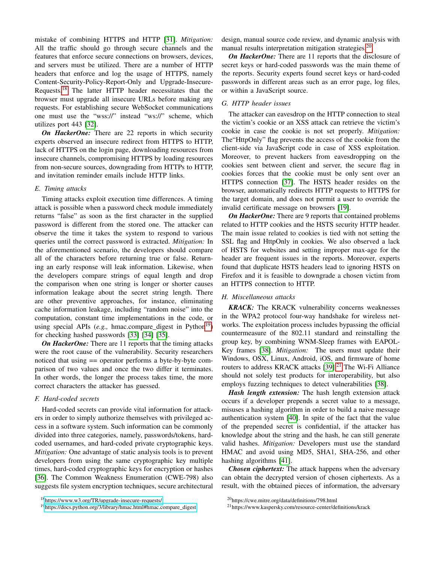mistake of combining HTTPS and HTTP [\[31\]](#page-8-30). *Mitigation:* All the traffic should go through secure channels and the features that enforce secure connections on browsers, devices, and servers must be utilized. There are a number of HTTP headers that enforce and log the usage of HTTPS, namely Content-Security-Policy-Report-Only and Upgrade-Insecure-Requests.[18](#page-5-0) The latter HTTP header necessitates that the browser must upgrade all insecure URLs before making any requests. For establishing secure WebSocket communications one must use the "wss://" instead "ws://" scheme, which utilizes port 443 [\[32\]](#page-8-31).

*On HackerOne:* There are 22 reports in which security experts observed an insecure redirect from HTTPS to HTTP, lack of HTTPS on the login page, downloading resources from insecure channels, compromising HTTPS by loading resources from non-secure sources, downgrading from HTTPs to HTTP, and invitation reminder emails include HTTP links.

#### *E. Timing attacks*

Timing attacks exploit execution time differences. A timing attack is possible when a password check module immediately returns "false" as soon as the first character in the supplied password is different from the stored one. The attacker can observe the time it takes the system to respond to various queries until the correct password is extracted. *Mitigation:* In the aforementioned scenario, the developers should compare all of the characters before returning true or false. Returning an early response will leak information. Likewise, when the developers compare strings of equal length and drop the comparison when one string is longer or shorter causes information leakage about the secret string length. There are other preventive approaches, for instance, eliminating cache information leakage, including "random noise" into the computation, constant time implementations in the code, or using special APIs (*e.g.*, hmac.compare digest in Python<sup>[19](#page-5-1)</sup>) for checking hashed passwords [\[33\]](#page-8-32) [\[34\]](#page-8-33) [\[35\]](#page-8-34).

*On HackerOne:* There are 11 reports that the timing attacks were the root cause of the vulnerability. Security researchers noticed that using == operator performs a byte-by-byte comparison of two values and once the two differ it terminates. In other words, the longer the process takes time, the more correct characters the attacker has guessed.

# *F. Hard-coded secrets*

Hard-coded secrets can provide vital information for attackers in order to simply authorize themselves with privileged access in a software system. Such information can be commonly divided into three categories, namely, passwords/tokens, hardcoded usernames, and hard-coded private cryptographic keys. *Mitigation:* One advantage of static analysis tools is to prevent developers from using the same cryptographic key multiple times, hard-coded cryptographic keys for encryption or hashes [\[36\]](#page-8-35). The Common Weakness Enumeration (CWE-798) also suggests file system encryption techniques, secure architectural

design, manual source code review, and dynamic analysis with manual results interpretation mitigation strategies.<sup>[20](#page-5-2)</sup>

*On HackerOne:* There are 11 reports that the disclosure of secret keys or hard-coded passwords was the main theme of the reports. Security experts found secret keys or hard-coded passwords in different areas such as an error page, log files, or within a JavaScript source.

# *G. HTTP header issues*

The attacker can eavesdrop on the HTTP connection to steal the victim's cookie or an XSS attack can retrieve the victim's cookie in case the cookie is not set properly. *Mitigation:* The"HttpOnly" flag prevents the access of the cookie from the client-side via JavaScript code in case of XSS exploitation. Moreover, to prevent hackers from eavesdropping on the cookies sent between client and server, the secure flag in cookies forces that the cookie must be only sent over an HTTPS connection [\[37\]](#page-8-36). The HSTS header resides on the browser, automatically redirects HTTP requests to HTTPS for the target domain, and does not permit a user to override the invalid certificate message on browsers [\[19\]](#page-8-18).

*On HackerOne:* There are 9 reports that contained problems related to HTTP cookies and the HSTS security HTTP header. The main issue related to cookies is tied with not setting the SSL flag and HttpOnly in cookies. We also observed a lack of HSTS for websites and setting improper max-age for the header are frequent issues in the reports. Moreover, experts found that duplicate HSTS headers lead to ignoring HSTS on Firefox and it is feasible to downgrade a chosen victim from an HTTPS connection to HTTP.

# *H. Miscellaneous attacks*

*KRACK:* The KRACK vulnerability concerns weaknesses in the WPA2 protocol four-way handshake for wireless networks. The exploitation process includes bypassing the official countermeasure of the 802.11 standard and reinstalling the group key, by combining WNM-Sleep frames with EAPOL-Key frames [\[38\]](#page-8-37). *Mitigation:* The users must update their Windows, OSX, Linux, Android, iOS, and firmware of home routers to address KRACK attacks [\[39\]](#page-8-38).<sup>[21](#page-5-3)</sup> The Wi-Fi Alliance should not solely test products for interoperability, but also employs fuzzing techniques to detect vulnerabilities [\[38\]](#page-8-37).

*Hash length extension:* The hash length extension attack occurs if a developer prepends a secret value to a message, misuses a hashing algorithm in order to build a naive message authentication system [\[40\]](#page-8-39). In spite of the fact that the value of the prepended secret is confidential, if the attacker has knowledge about the string and the hash, he can still generate valid hashes. *Mitigation:* Developers must use the standard HMAC and avoid using MD5, SHA1, SHA-256, and other hashing algorithms [\[41\]](#page-9-0).

*Chosen ciphertext:* The attack happens when the adversary can obtain the decrypted version of chosen ciphertexts. As a result, with the obtained pieces of information, the adversary

<span id="page-5-0"></span><sup>18</sup><https://www.w3.org/TR/upgrade-insecure-requests/>

<span id="page-5-1"></span><sup>19</sup>[https://docs.python.org/3/library/hmac.html#hmac.compare\\_digest](https://docs.python.org/3/library/hmac.html#hmac.compare_digest)

<span id="page-5-2"></span><sup>20</sup>https://cwe.mitre.org/data/definitions/798.html

<span id="page-5-3"></span><sup>21</sup>https://www.kaspersky.com/resource-center/definitions/krack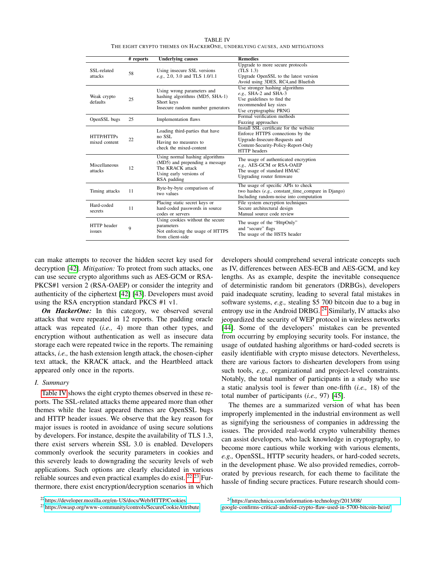TABLE IV THE EIGHT CRYPTO THEMES ON HACKERONE, UNDERLYING CAUSES, AND MITIGATIONS

<span id="page-6-0"></span>

|                             | # reports | <b>Underlying causes</b>                                                                                                        | <b>Remedies</b>                                                                                                                                                            |
|-----------------------------|-----------|---------------------------------------------------------------------------------------------------------------------------------|----------------------------------------------------------------------------------------------------------------------------------------------------------------------------|
| SSL-related<br>attacks      | 58        | Using insecure SSL versions<br>e.g., 2.0, 3.0 and TLS 1.0/1.1                                                                   | Upgrade to more secure protocols<br>(TLS 1.3)<br>Upgrade OpenSSL to the latest version<br>Avoid using 3DES, RC4, and Bluefish                                              |
| Weak crypto<br>defaults     | 25        | Using wrong parameters and<br>hashing algorithms (MD5, SHA-1)<br>Short keys<br>Insecure random number generators                | Use stronger hashing algorithms<br>e.g., SHA-2 and SHA-3<br>Use guidelines to find the<br>recommended key sizes<br>Use cryptographic PRNG                                  |
| OpenSSL bugs                | 25        | Implementation flaws                                                                                                            | Formal verification methods<br>Fuzzing approaches                                                                                                                          |
| HTTP/HTTPs<br>mixed content | 22        | Loading third-parties that have<br>no SSL<br>Having no measures to<br>check the mixed-content                                   | Install SSL certificate for the website<br>Enforce HTTPS connections by the<br>Upgrade-Insecure-Requests and<br>Content-Security-Policy-Report-Only<br><b>HTTP</b> headers |
| Miscellaneous<br>attacks    | 12        | Using normal hashing algorithms<br>(MD5) and prepending a message<br>The KRACK attack<br>Using early versions of<br>RSA padding | The usage of authenticated encryption<br>e.g., AES-GCM or RSA-OAEP<br>The usage of standard HMAC<br>Upgrading router firmware                                              |
| Timing attacks              | 11        | Byte-by-byte comparison of<br>two values                                                                                        | The usage of specific APIs to check<br>two hashes (e.g., constant_time_compare in Django)<br>Including random-noise into computation                                       |
| Hard-coded<br>secrets       | 11        | Placing static secret keys or<br>hard-coded passwords in source<br>codes or servers                                             | File system encryption techniques<br>Secure architectural design<br>Manual source code review                                                                              |
| HTTP header<br>issues       | 9         | Using cookies without the secure<br>parameters<br>Not enforcing the usage of HTTPS<br>from client-side                          | The usage of the "HttpOnly"<br>and "secure" flags<br>The usage of the HSTS header                                                                                          |

can make attempts to recover the hidden secret key used for decryption [\[42\]](#page-9-1). *Mitigation:* To protect from such attacks, one can use secure crypto algorithms such as AES-GCM or RSA-PKCS#1 version 2 (RSA-OAEP) or consider the integrity and authenticity of the ciphertext [\[42\]](#page-9-1) [\[43\]](#page-9-2). Developers must avoid using the RSA encryption standard PKCS #1 v1.

*On HackerOne:* In this category, we observed several attacks that were repeated in 12 reports. The padding oracle attack was repeated (*i.e.,* 4) more than other types, and encryption without authentication as well as insecure data storage each were repeated twice in the reports. The remaining attacks, *i.e.,* the hash extension length attack, the chosen-cipher text attack, the KRACK attack, and the Heartbleed attack appeared only once in the reports.

#### *I. Summary*

[Table IV](#page-6-0) shows the eight crypto themes observed in these reports. The SSL-related attacks theme appeared more than other themes while the least appeared themes are OpenSSL bugs and HTTP header issues. We observe that the key reason for major issues is rooted in avoidance of using secure solutions by developers. For instance, despite the availability of TLS 1.3, there exist servers wherein SSL 3.0 is enabled. Developers commonly overlook the security parameters in cookies and this severely leads to downgrading the security levels of web applications. Such options are clearly elucidated in various reliable sources and even practical examples do exist. <sup>[22](#page-6-1) [23](#page-6-2)</sup> Furthermore, there exist encryption/decryption scenarios in which

developers should comprehend several intricate concepts such as IV, differences between AES-ECB and AES-GCM, and key lengths. As as example, despite the inevitable consequence of deterministic random bit generators (DRBGs), developers paid inadequate scrutiny, leading to several fatal mistakes in software systems, *e.g.,* stealing \$5 700 bitcoin due to a bug in entropy use in the Android DRBG. [24](#page-6-3) Similarly, IV attacks also jeopardized the security of WEP protocol in wireless networks [\[44\]](#page-9-3). Some of the developers' mistakes can be prevented from occurring by employing security tools. For instance, the usage of outdated hashing algorithms or hard-coded secrets is easily identifiable with crypto misuse detectors. Nevertheless, there are various factors to dishearten developers from using such tools, *e.g.,* organizational and project-level constraints. Notably, the total number of participants in a study who use a static analysis tool is fewer than one-fifth (*i.e.,* 18) of the total number of participants (*i.e.,* 97) [\[45\]](#page-9-4).

The themes are a summarized version of what has been improperly implemented in the industrial environment as well as signifying the seriousness of companies in addressing the issues. The provided real-world crypto vulnerability themes can assist developers, who lack knowledge in cryptography, to become more cautious while working with various elements, *e.g.,* OpenSSL, HTTP security headers, or hard-coded secrets, in the development phase. We also provided remedies, corroborated by previous research, for each theme to facilitate the hassle of finding secure practices. Future research should com-

<span id="page-6-1"></span><sup>22</sup><https://developer.mozilla.org/en-US/docs/Web/HTTP/Cookies>

<span id="page-6-2"></span><sup>23</sup><https://owasp.org/www-community/controls/SecureCookieAttribute>

<span id="page-6-3"></span><sup>24</sup>[https://arstechnica.com/information-technology/2013/08/](https://arstechnica.com/information-technology/2013/08/google-confirms-critical-android-crypto-flaw-used-in-5700-bitcoin-heist/) [google-confirms-critical-android-crypto-flaw-used-in-5700-bitcoin-heist/](https://arstechnica.com/information-technology/2013/08/google-confirms-critical-android-crypto-flaw-used-in-5700-bitcoin-heist/)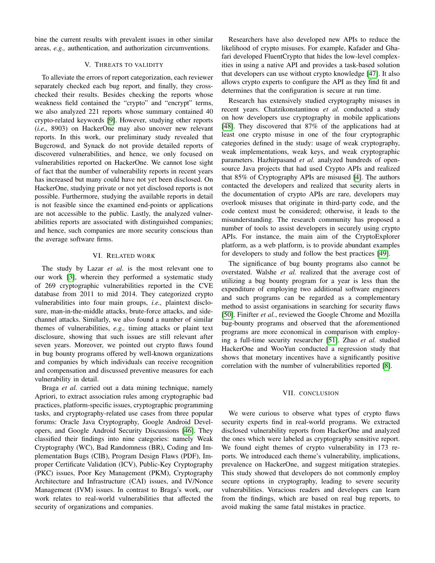bine the current results with prevalent issues in other similar areas, *e.g.,* authentication, and authorization circumventions.

# V. THREATS TO VALIDITY

<span id="page-7-0"></span>To alleviate the errors of report categorization, each reviewer separately checked each bug report, and finally, they crosschecked their results. Besides checking the reports whose weakness field contained the "crypto" and "encrypt" terms, we also analyzed 221 reports whose summary contained 40 crypto-related keywords [\[9\]](#page-8-8). However, studying other reports (*i.e.,* 8903) on HackerOne may also uncover new relevant reports. In this work, our preliminary study revealed that Bugcrowd, and Synack do not provide detailed reports of discovered vulnerabilities, and hence, we only focused on vulnerabilities reported on HackerOne. We cannot lose sight of fact that the number of vulnerability reports in recent years has increased but many could have not yet been disclosed. On HackerOne, studying private or not yet disclosed reports is not possible. Furthermore, studying the available reports in detail is not feasible since the examined end-points or applications are not accessible to the public. Lastly, the analyzed vulnerabilities reports are associated with distinguished companies; and hence, such companies are more security conscious than the average software firms.

#### VI. RELATED WORK

<span id="page-7-1"></span>The study by Lazar *et al.* is the most relevant one to our work [\[3\]](#page-8-2), wherein they performed a systematic study of 269 cryptographic vulnerabilities reported in the CVE database from 2011 to mid 2014. They categorized crypto vulnerabilities into four main groups, *i.e.,* plaintext disclosure, man-in-the-middle attacks, brute-force attacks, and sidechannel attacks. Similarly, we also found a number of similar themes of vulnerabilities, *e.g.,* timing attacks or plaint text disclosure, showing that such issues are still relevant after seven years. Moreover, we pointed out crypto flaws found in bug bounty programs offered by well-known organizations and companies by which individuals can receive recognition and compensation and discussed preventive measures for each vulnerability in detail.

Braga *et al.* carried out a data mining technique, namely Apriori, to extract association rules among cryptographic bad practices, platform-specific issues, cryptographic programming tasks, and cryptography-related use cases from three popular forums: Oracle Java Cryptography, Google Android Developers, and Google Android Security Discussions [\[46\]](#page-9-5). They classified their findings into nine categories: namely Weak Cryptography (WC), Bad Randomness (BR), Coding and Implementation Bugs (CIB), Program Design Flaws (PDF), Improper Certificate Validation (ICV), Public-Key Cryptography (PKC) issues, Poor Key Management (PKM), Cryptography Architecture and Infrastructure (CAI) issues, and IV/Nonce Management (IVM) issues. In contrast to Braga's work, our work relates to real-world vulnerabilities that affected the security of organizations and companies.

Researchers have also developed new APIs to reduce the likelihood of crypto misuses. For example, Kafader and Ghafari developed FluentCrypto that hides the low-level complexities in using a native API and provides a task-based solution that developers can use without crypto knowledge [\[47\]](#page-9-6). It also allows crypto experts to configure the API as they find fit and determines that the configuration is secure at run time.

Research has extensively studied cryptography misuses in recent years. Chatzikonstantinou *et al.* conducted a study on how developers use cryptography in mobile applications [\[48\]](#page-9-7). They discovered that 87% of the applications had at least one crypto misuse in one of the four cryptographic categories defined in the study: usage of weak cryptography, weak implementations, weak keys, and weak cryptographic parameters. Hazhirpasand *et al.* analyzed hundreds of opensource Java projects that had used Crypto APIs and realized that 85% of Cryptography APIs are misused [\[4\]](#page-8-3). The authors contacted the developers and realized that security alerts in the documentation of crypto APIs are rare, developers may overlook misuses that originate in third-party code, and the code context must be considered; otherwise, it leads to the misunderstanding. The research community has proposed a number of tools to assist developers in securely using crypto APIs. For instance, the main aim of the CryptoExplorer platform, as a web platform, is to provide abundant examples for developers to study and follow the best practices [\[49\]](#page-9-8).

The significance of bug bounty programs also cannot be overstated. Walshe *et al.* realized that the average cost of utilizing a bug bounty program for a year is less than the expenditure of employing two additional software engineers and such programs can be regarded as a complementary method to assist organisations in searching for security flaws [\[50\]](#page-9-9). Finifter *et al.*, reviewed the Google Chrome and Mozilla bug-bounty programs and observed that the aforementioned programs are more economical in comparison with employing a full-time security researcher [\[51\]](#page-9-10). Zhao *et al.* studied HackerOne and WooYun conducted a regression study that shows that monetary incentives have a significantly positive correlation with the number of vulnerabilities reported [\[8\]](#page-8-7).

# VII. CONCLUSION

<span id="page-7-2"></span>We were curious to observe what types of crypto flaws security experts find in real-world programs. We extracted disclosed vulnerability reports from HackerOne and analyzed the ones which were labeled as cryptography sensitive report. We found eight themes of crypto vulnerability in 173 reports. We introduced each theme's vulnerability, implications, prevalence on HackerOne, and suggest mitigation strategies. This study showed that developers do not commonly employ secure options in cryptography, leading to severe security vulnerabilities. Voracious readers and developers can learn from the findings, which are based on real bug reports, to avoid making the same fatal mistakes in practice.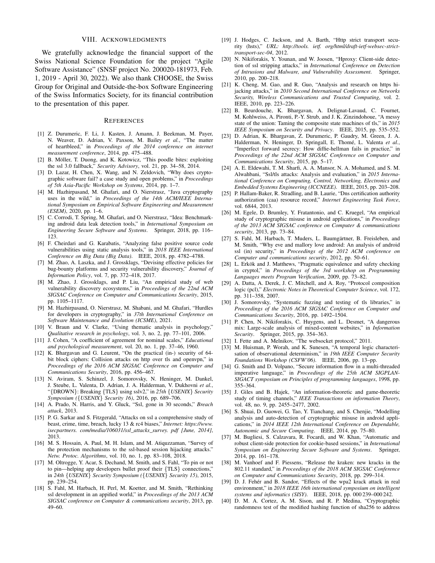#### VIII. ACKNOWLEDGMENTS

We gratefully acknowledge the financial support of the Swiss National Science Foundation for the project "Agile Software Assistance" (SNSF project No. 200020-181973, Feb. 1, 2019 - April 30, 2022). We also thank CHOOSE, the Swiss Group for Original and Outside-the-box Software Engineering of the Swiss Informatics Society, for its financial contribution to the presentation of this paper.

#### **REFERENCES**

- <span id="page-8-0"></span>[1] Z. Durumeric, F. Li, J. Kasten, J. Amann, J. Beekman, M. Payer, N. Weaver, D. Adrian, V. Paxson, M. Bailey *et al.*, "The matter of heartbleed," in *Proceedings of the 2014 conference on internet measurement conference*, 2014, pp. 475–488.
- <span id="page-8-1"></span>[2] B. Möller, T. Duong, and K. Kotowicz, "This poodle bites: exploiting the ssl 3.0 fallback," *Security Advisory*, vol. 21, pp. 34–58, 2014.
- <span id="page-8-2"></span>[3] D. Lazar, H. Chen, X. Wang, and N. Zeldovich, "Why does cryptographic software fail? a case study and open problems," in *Proceedings of 5th Asia-Pacific Workshop on Systems*, 2014, pp. 1–7.
- <span id="page-8-3"></span>[4] M. Hazhirpasand, M. Ghafari, and O. Nierstrasz, "Java cryptography uses in the wild," in *Proceedings of the 14th ACM/IEEE International Symposium on Empirical Software Engineering and Measurement (ESEM)*, 2020, pp. 1–6.
- <span id="page-8-4"></span>[5] C. Corrodi, T. Spring, M. Ghafari, and O. Nierstrasz, "Idea: Benchmarking android data leak detection tools," in *International Symposium on Engineering Secure Software and Systems*. Springer, 2018, pp. 116– 123.
- <span id="page-8-5"></span>[6] F. Cheirdari and G. Karabatis, "Analyzing false positive source code vulnerabilities using static analysis tools," in *2018 IEEE International Conference on Big Data (Big Data)*. IEEE, 2018, pp. 4782–4788.
- <span id="page-8-6"></span>[7] M. Zhao, A. Laszka, and J. Grossklags, "Devising effective policies for bug-bounty platforms and security vulnerability discovery," *Journal of Information Policy*, vol. 7, pp. 372–418, 2017.
- <span id="page-8-7"></span>[8] M. Zhao, J. Grossklags, and P. Liu, "An empirical study of web vulnerability discovery ecosystems," in *Proceedings of the 22nd ACM SIGSAC Conference on Computer and Communications Security*, 2015, pp. 1105–1117.
- <span id="page-8-8"></span>[9] M. Hazhirpasand, O. Nierstrasz, M. Shabani, and M. Ghafari, "Hurdles for developers in cryptography," in *37th International Conference on Software Maintenance and Evolution (ICSME)*, 2021.
- <span id="page-8-9"></span>[10] V. Braun and V. Clarke, "Using thematic analysis in psychology," *Qualitative research in psychology*, vol. 3, no. 2, pp. 77–101, 2006.
- <span id="page-8-10"></span>[11] J. Cohen, "A coefficient of agreement for nominal scales," *Educational and psychological measurement*, vol. 20, no. 1, pp. 37–46, 1960.
- <span id="page-8-11"></span>[12] K. Bhargavan and G. Leurent, "On the practical (in-) security of 64 bit block ciphers: Collision attacks on http over tls and openvpn," in *Proceedings of the 2016 ACM SIGSAC Conference on Computer and Communications Security*, 2016, pp. 456–467.
- <span id="page-8-12"></span>[13] N. Aviram, S. Schinzel, J. Somorovsky, N. Heninger, M. Dankel, J. Steube, L. Valenta, D. Adrian, J. A. Halderman, V. Dukhovni *et al.*, "{DROWN}: Breaking {TLS} using sslv2," in *25th* {*USENIX*} *Security Symposium (*{*USENIX*} *Security 16)*, 2016, pp. 689–706.
- <span id="page-8-13"></span>[14] A. Prado, N. Harris, and Y. Gluck, "Ssl, gone in 30 seconds," *Breach attack*, 2013.
- <span id="page-8-14"></span>[15] P. G. Sarkar and S. Fitzgerald, "Attacks on ssl a comprehensive study of beast, crime, time, breach, lucky 13 & rc4 biases," *Internet: https://www. isecpartners. com/media/106031/ssl\_attacks\_survey. pdf [June, 2014]*, 2013.
- <span id="page-8-15"></span>[16] M. S. Hossain, A. Paul, M. H. Islam, and M. Atiquzzaman, "Survey of the protection mechanisms to the ssl-based session hijacking attacks." *Netw. Protoc. Algorithms*, vol. 10, no. 1, pp. 83–108, 2018.
- <span id="page-8-16"></span>[17] M. Oltrogge, Y. Acar, S. Dechand, M. Smith, and S. Fahl, "To pin or not to pin—helping app developers bullet proof their {TLS} connections, in *24th* {*USENIX*} *Security Symposium (*{*USENIX*} *Security 15)*, 2015, pp. 239–254.
- <span id="page-8-17"></span>[18] S. Fahl, M. Harbach, H. Perl, M. Koetter, and M. Smith, "Rethinking ssl development in an appified world," in *Proceedings of the 2013 ACM SIGSAC conference on Computer & communications security*, 2013, pp. 49–60.
- <span id="page-8-18"></span>[19] J. Hodges, C. Jackson, and A. Barth, "Http strict transport security (hsts)," *URL: http://tools. ietf. org/html/draft-ietf-websec-stricttransport-sec-04*, 2012.
- <span id="page-8-19"></span>[20] N. Nikiforakis, Y. Younan, and W. Joosen, "Hproxy: Client-side detection of ssl stripping attacks," in *International Conference on Detection of Intrusions and Malware, and Vulnerability Assessment*. Springer, 2010, pp. 200–218.
- <span id="page-8-20"></span>[21] K. Cheng, M. Gao, and R. Guo, "Analysis and research on https hijacking attacks," in *2010 Second International Conference on Networks Security, Wireless Communications and Trusted Computing*, vol. 2. IEEE, 2010, pp. 223–226.
- <span id="page-8-21"></span>[22] B. Beurdouche, K. Bhargavan, A. Delignat-Lavaud, C. Fournet, M. Kohlweiss, A. Pironti, P.-Y. Strub, and J. K. Zinzindohoue, "A messy state of the union: Taming the composite state machines of tls," in *2015 IEEE Symposium on Security and Privacy*. IEEE, 2015, pp. 535–552.
- <span id="page-8-22"></span>[23] D. Adrian, K. Bhargavan, Z. Durumeric, P. Gaudry, M. Green, J. A. Halderman, N. Heninger, D. Springall, E. Thomé, L. Valenta *et al.*, "Imperfect forward secrecy: How diffie-hellman fails in practice," in *Proceedings of the 22nd ACM SIGSAC Conference on Computer and Communications Security*, 2015, pp. 5–17.
- <span id="page-8-23"></span>[24] A. E. Eldewahi, T. M. Sharfi, A. A. Mansor, N. A. Mohamed, and S. M. Alwahbani, "Ssl/tls attacks: Analysis and evaluation," in *2015 International Conference on Computing, Control, Networking, Electronics and Embedded Systems Engineering (ICCNEEE)*. IEEE, 2015, pp. 203–208.
- <span id="page-8-24"></span>[25] P. Hallam-Baker, R. Stradling, and B. Laurie, "Dns certification authority authorization (caa) resource record," *Internet Engineering Task Force*, vol. 6844, 2013.
- <span id="page-8-25"></span>[26] M. Egele, D. Brumley, Y. Fratantonio, and C. Kruegel, "An empirical study of cryptographic misuse in android applications," in *Proceedings of the 2013 ACM SIGSAC conference on Computer & communications security*, 2013, pp. 73–84.
- <span id="page-8-26"></span>[27] S. Fahl, M. Harbach, T. Muders, L. Baumgärtner, B. Freisleben, and M. Smith, "Why eve and mallory love android: An analysis of android ssl (in) security," in *Proceedings of the 2012 ACM conference on Computer and communications security*, 2012, pp. 50–61.
- <span id="page-8-27"></span>[28] L. Erkök and J. Matthews, "Pragmatic equivalence and safety checking in cryptol," in *Proceedings of the 3rd workshop on Programming Languages meets Program Verification*, 2009, pp. 73–82.
- <span id="page-8-28"></span>[29] A. Datta, A. Derek, J. C. Mitchell, and A. Roy, "Protocol composition logic (pcl)," *Electronic Notes in Theoretical Computer Science*, vol. 172, pp. 311–358, 2007.
- <span id="page-8-29"></span>[30] J. Somorovsky, "Systematic fuzzing and testing of tls libraries," in *Proceedings of the 2016 ACM SIGSAC Conference on Computer and Communications Security*, 2016, pp. 1492–1504.
- <span id="page-8-30"></span>[31] P. Chen, N. Nikiforakis, C. Huygens, and L. Desmet, "A dangerous mix: Large-scale analysis of mixed-content websites," in *Information Security*. Springer, 2015, pp. 354–363.
- <span id="page-8-31"></span>[32] I. Fette and A. Melnikov, "The websocket protocol," 2011.
- <span id="page-8-32"></span>[33] M. Huisman, P. Worah, and K. Sunesen, "A temporal logic characterisation of observational determinism," in *19th IEEE Computer Security Foundations Workshop (CSFW'06)*. IEEE, 2006, pp. 13–pp.
- <span id="page-8-33"></span>[34] G. Smith and D. Volpano, "Secure information flow in a multi-threaded imperative language," in *Proceedings of the 25th ACM SIGPLAN-SIGACT symposium on Principles of programming languages*, 1998, pp. 355–364.
- <span id="page-8-34"></span>[35] J. Giles and B. Hajek, "An information-theoretic and game-theoretic study of timing channels," *IEEE Transactions on information Theory*, vol. 48, no. 9, pp. 2455–2477, 2002.
- <span id="page-8-35"></span>[36] S. Shuai, D. Guowei, G. Tao, Y. Tianchang, and S. Chenjie, "Modelling analysis and auto-detection of cryptographic misuse in android applications," in *2014 IEEE 12th International Conference on Dependable, Autonomic and Secure Computing*. IEEE, 2014, pp. 75–80.
- <span id="page-8-36"></span>[37] M. Bugliesi, S. Calzavara, R. Focardi, and W. Khan, "Automatic and robust client-side protection for cookie-based sessions," in *International Symposium on Engineering Secure Software and Systems*. Springer, 2014, pp. 161–178.
- <span id="page-8-37"></span>[38] M. Vanhoef and F. Piessens, "Release the kraken: new kracks in the 802.11 standard," in *Proceedings of the 2018 ACM SIGSAC Conference on Computer and Communications Security*, 2018, pp. 299–314.
- <span id="page-8-38"></span>[39] D. J. Fehér and B. Sandor, "Effects of the wpa2 krack attack in real environment," in *2018 IEEE 16th international symposium on intelligent systems and informatics (SISY)*. IEEE, 2018, pp. 000 239–000 242.
- <span id="page-8-39"></span>[40] D. M. A. Cortez, A. M. Sison, and R. P. Medina, "Cryptographic randomness test of the modified hashing function of sha256 to address